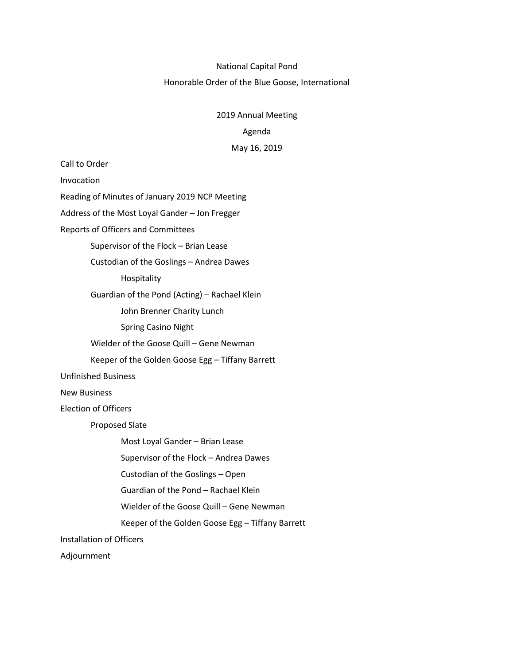#### National Capital Pond

# Honorable Order of the Blue Goose, International

2019 Annual Meeting

### Agenda

# May 16, 2019

Call to Order Invocation Reading of Minutes of January 2019 NCP Meeting Address of the Most Loyal Gander – Jon Fregger Reports of Officers and Committees Supervisor of the Flock – Brian Lease Custodian of the Goslings – Andrea Dawes Hospitality Guardian of the Pond (Acting) – Rachael Klein John Brenner Charity Lunch Spring Casino Night Wielder of the Goose Quill – Gene Newman Keeper of the Golden Goose Egg – Tiffany Barrett Unfinished Business New Business Election of Officers Proposed Slate Most Loyal Gander – Brian Lease Supervisor of the Flock – Andrea Dawes Custodian of the Goslings – Open Guardian of the Pond – Rachael Klein Wielder of the Goose Quill – Gene Newman Keeper of the Golden Goose Egg – Tiffany Barrett Installation of Officers

Adjournment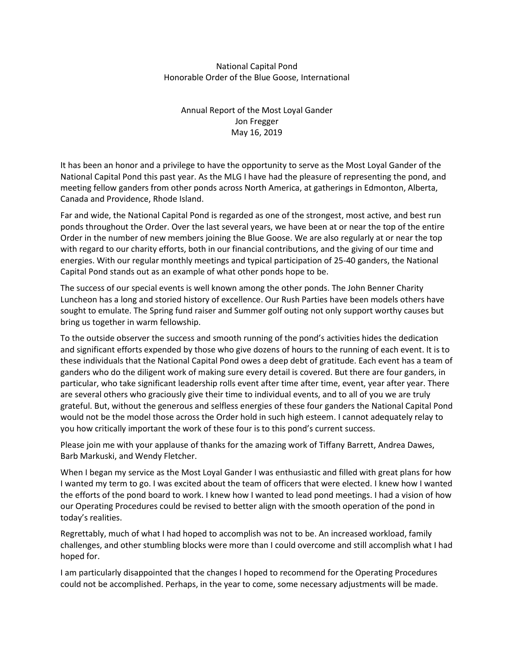# National Capital Pond Honorable Order of the Blue Goose, International

Annual Report of the Most Loyal Gander Jon Fregger May 16, 2019

It has been an honor and a privilege to have the opportunity to serve as the Most Loyal Gander of the National Capital Pond this past year. As the MLG I have had the pleasure of representing the pond, and meeting fellow ganders from other ponds across North America, at gatherings in Edmonton, Alberta, Canada and Providence, Rhode Island.

Far and wide, the National Capital Pond is regarded as one of the strongest, most active, and best run ponds throughout the Order. Over the last several years, we have been at or near the top of the entire Order in the number of new members joining the Blue Goose. We are also regularly at or near the top with regard to our charity efforts, both in our financial contributions, and the giving of our time and energies. With our regular monthly meetings and typical participation of 25-40 ganders, the National Capital Pond stands out as an example of what other ponds hope to be.

The success of our special events is well known among the other ponds. The John Benner Charity Luncheon has a long and storied history of excellence. Our Rush Parties have been models others have sought to emulate. The Spring fund raiser and Summer golf outing not only support worthy causes but bring us together in warm fellowship.

To the outside observer the success and smooth running of the pond's activities hides the dedication and significant efforts expended by those who give dozens of hours to the running of each event. It is to these individuals that the National Capital Pond owes a deep debt of gratitude. Each event has a team of ganders who do the diligent work of making sure every detail is covered. But there are four ganders, in particular, who take significant leadership rolls event after time after time, event, year after year. There are several others who graciously give their time to individual events, and to all of you we are truly grateful. But, without the generous and selfless energies of these four ganders the National Capital Pond would not be the model those across the Order hold in such high esteem. I cannot adequately relay to you how critically important the work of these four is to this pond's current success.

Please join me with your applause of thanks for the amazing work of Tiffany Barrett, Andrea Dawes, Barb Markuski, and Wendy Fletcher.

When I began my service as the Most Loyal Gander I was enthusiastic and filled with great plans for how I wanted my term to go. I was excited about the team of officers that were elected. I knew how I wanted the efforts of the pond board to work. I knew how I wanted to lead pond meetings. I had a vision of how our Operating Procedures could be revised to better align with the smooth operation of the pond in today's realities.

Regrettably, much of what I had hoped to accomplish was not to be. An increased workload, family challenges, and other stumbling blocks were more than I could overcome and still accomplish what I had hoped for.

I am particularly disappointed that the changes I hoped to recommend for the Operating Procedures could not be accomplished. Perhaps, in the year to come, some necessary adjustments will be made.